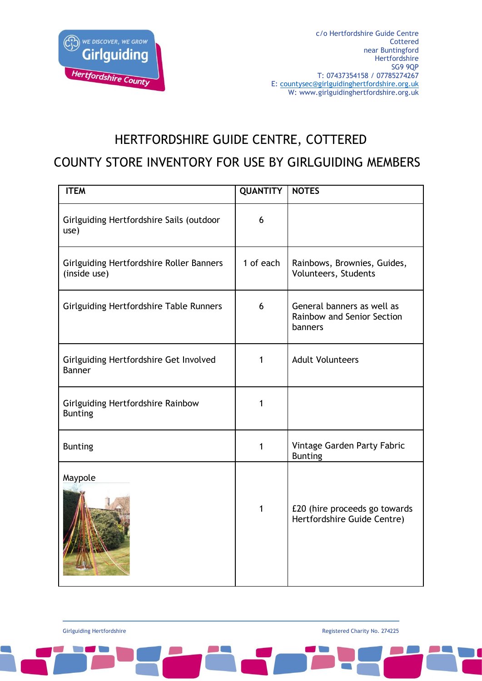

## HERTFORDSHIRE GUIDE CENTRE, COTTERED

#### COUNTY STORE INVENTORY FOR USE BY GIRLGUIDING MEMBERS

| <b>ITEM</b>                                              | <b>QUANTITY</b> | <b>NOTES</b>                                                               |
|----------------------------------------------------------|-----------------|----------------------------------------------------------------------------|
| Girlguiding Hertfordshire Sails (outdoor<br>use)         | 6               |                                                                            |
| Girlguiding Hertfordshire Roller Banners<br>(inside use) | 1 of each       | Rainbows, Brownies, Guides,<br>Volunteers, Students                        |
| <b>Girlguiding Hertfordshire Table Runners</b>           | 6               | General banners as well as<br><b>Rainbow and Senior Section</b><br>banners |
| Girlguiding Hertfordshire Get Involved<br><b>Banner</b>  | 1               | <b>Adult Volunteers</b>                                                    |
| Girlguiding Hertfordshire Rainbow<br><b>Bunting</b>      | 1               |                                                                            |
| <b>Bunting</b>                                           | 1               | Vintage Garden Party Fabric<br><b>Bunting</b>                              |
| Maypole                                                  | $\mathbf{1}$    | £20 (hire proceeds go towards<br>Hertfordshire Guide Centre)               |

Girlguiding Hertfordshire **Registered Charity No. 274225 Registered Charity No. 274225**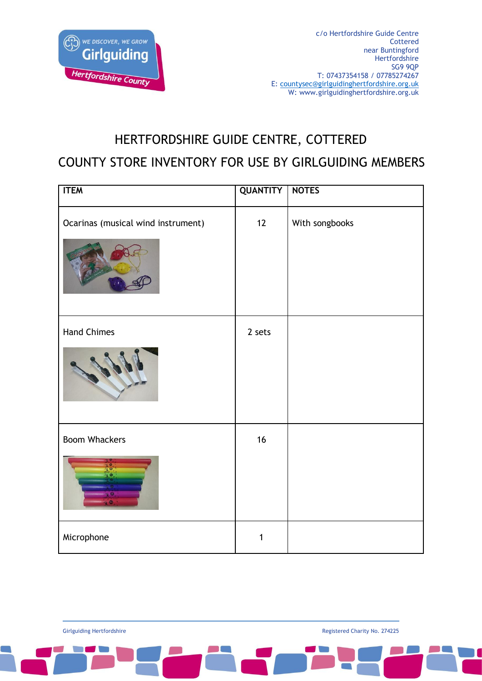

## HERTFORDSHIRE GUIDE CENTRE, COTTERED

#### COUNTY STORE INVENTORY FOR USE BY GIRLGUIDING MEMBERS

| <b>ITEM</b>                        | <b>QUANTITY</b> | <b>NOTES</b>   |
|------------------------------------|-----------------|----------------|
| Ocarinas (musical wind instrument) | 12              | With songbooks |
| <b>Hand Chimes</b>                 | 2 sets          |                |
| <b>Boom Whackers</b><br>$\bullet$  | 16              |                |
| Microphone                         | 1               |                |

Girlguiding Hertfordshire **Registered Charity No. 274225 Registered Charity No. 274225**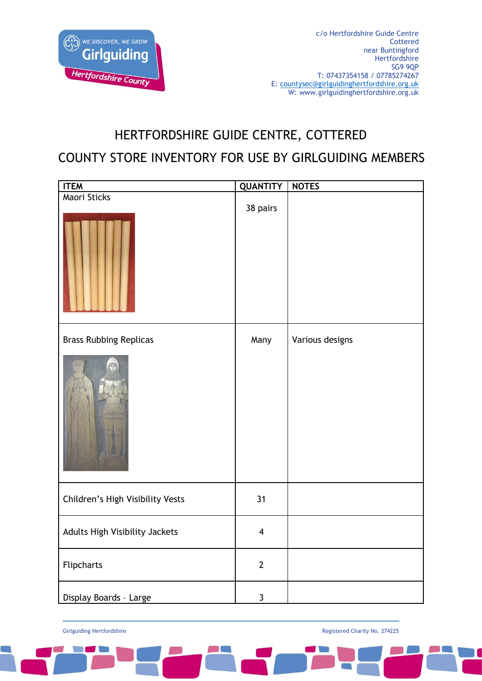

# HERTFORDSHIRE GUIDE CENTRE, COTTERED COUNTY STORE INVENTORY FOR USE BY GIRLGUIDING MEMBERS

| <b>ITEM</b>                      | <b>QUANTITY</b>         | <b>NOTES</b>    |
|----------------------------------|-------------------------|-----------------|
| Maori Sticks                     | 38 pairs                |                 |
| <b>Brass Rubbing Replicas</b>    | Many                    | Various designs |
|                                  |                         |                 |
| Children's High Visibility Vests | 31                      |                 |
| Adults High Visibility Jackets   | $\overline{\mathbf{4}}$ |                 |
| Flipcharts                       | $\mathbf{2}$            |                 |
| Display Boards - Large           | $\mathbf{3}$            |                 |

Girlguiding Hertfordshire **Registered Charity No. 274225 Registered Charity No. 274225**